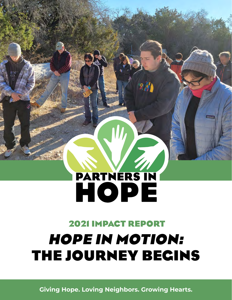# PARTNERS IN HOPE

# **2021 IMPACT REPORT HOPE IN MOTION: THE JOURNEY BEGINS**

**Giving Hope. Loving Neighbors. Growing Hearts.**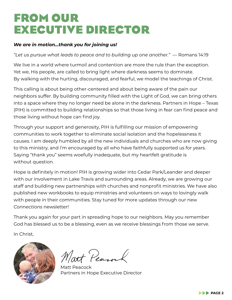# **FROM OUR EXECUTIVE DIRECTOR**

#### *We are in motion…thank you for joining us!*

*"Let us pursue what leads to peace and to building up one another."* — Romans 14:19

We live in a world where turmoil and contention are more the rule than the exception. Yet we, His people, are called to bring light where darkness seems to dominate. By walking with the hurting, discouraged, and fearful, we model the teachings of Christ.

This calling is about being other-centered and about being aware of the pain our neighbors suffer. By building community filled with the Light of God, we can bring others into a space where they no longer need be alone in the darkness. Partners in Hope – Texas (PIH) is committed to building relationships so that those living in fear can find peace and those living without hope can find joy.

Through your support and generosity, PIH is fulfilling our mission of empowering communities to work together to eliminate social isolation and the hopelessness it causes. I am deeply humbled by all the new individuals and churches who are now giving to this ministry, and I'm encouraged by all who have faithfully supported us for years. Saying "thank you" seems woefully inadequate, but my heartfelt gratitude is without question.

Hope is definitely in motion! PIH is growing wider into Cedar Park/Leander and deeper with our involvement in Lake Travis and surrounding areas. Already, we are growing our staff and building new partnerships with churches and nonprofit ministries. We have also published new workbooks to equip ministries and volunteers on ways to lovingly walk with people in their communities. Stay tuned for more updates through our new *Connections* newsletter!

Thank you again for your part in spreading hope to our neighbors. May you remember God has blessed us to be a blessing, even as we receive blessings from those we serve.

In Christ,



Natt Pearock

**Matt Peacock** Partners in Hope Executive Director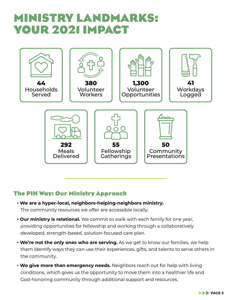# **MINISTRY LANDMARKS: YOUR 2021 IMPACT**



#### **The PIH Way: Our Ministry Approach**

- • **We are a hyper-local, neighbors-helping-neighbors ministry.** The community resources we offer are accessible locally.
- • **Our ministry is relational.** We commit to walk with each family for one year, providing opportunities for fellowship and working through a collaboratively developed, strength-based, solution-focused care plan.
- • **We're not the only ones who are serving.** As we get to know our families, we help them identify ways they can use their experiences, gifts, and talents to serve others in the community.
- • **We give more than emergency needs.** Neighbors reach out for help with living conditions, which gives us the opportunity to move them into a healthier life and God-honoring community through additional support and resources.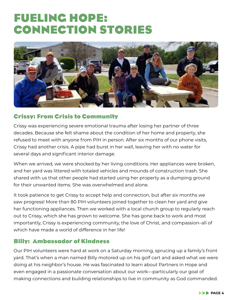# **FUELING HOPE: CONNECTION STORIES**



#### **Crissy: From Crisis to Community**

Crissy was experiencing severe emotional trauma after losing her partner of three decades. Because she felt shame about the condition of her home and property, she refused to meet with anyone from PIH in person. After six months of our phone visits, Crissy had another crisis. A pipe had burst in her wall, leaving her with no water for several days and significant interior damage.

When we arrived, we were shocked by her living conditions. Her appliances were broken, and her yard was littered with totaled vehicles and mounds of construction trash. She shared with us that other people had started using her property as a dumping ground for their unwanted items. She was overwhelmed and alone.

It took patience to get Crissy to accept help and connection, but after six months we saw progress! More than 80 PIH volunteers joined together to clean her yard and give her functioning appliances. Then we worked with a local church group to regularly reach out to Crissy, which she has grown to welcome. She has gone back to work and most importantly, Crissy is experiencing community, the love of Christ, and compassion–all of which have made a world of difference in her life!

#### **Billy: Ambassador of Kindness**

Our PIH volunteers were hard at work on a Saturday morning, sprucing up a family's front yard. That's when a man named Billy motored up on his golf cart and asked what we were doing at his neighbor's house. He was fascinated to learn about Partners in Hope and even engaged in a passionate conversation about our work—particularly our goal of making connections and building relationships to live in community as God commanded.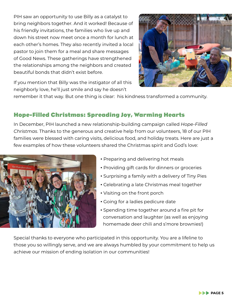PIH saw an opportunity to use Billy as a catalyst to bring neighbors together. And it worked! Because of his friendly invitations, the families who live up and down his street now meet once a month for lunch at each other's homes. They also recently invited a local pastor to join them for a meal and share messages of Good News. These gatherings have strengthened the relationships among the neighbors and created beautiful bonds that didn't exist before.



If you mention that Billy was the instigator of all this neighborly love, he'll just smile and say he doesn't

remember it that way. But one thing is clear: his kindness transformed a community.

#### **Hope-Filled Christmas: Spreading Joy, Warming Hearts**

In December, PIH launched a new relationship-building campaign called *Hope-Filled Christmas*. Thanks to the generous and creative help from our volunteers, 18 of our PIH families were blessed with caring visits, delicious food, and holiday treats. Here are just a few examples of how these volunteers shared the Christmas spirit and God's love:



- Preparing and delivering hot meals
- Providing gift cards for dinners or groceries
- Surprising a family with a delivery of Tiny Pies •
- Celebrating a late Christmas meal together •
- Visiting on the front porch •
- Going for a ladies pedicure date
- Spending time together around a fire pit for conversation and laughter (as well as enjoying homemade deer chili and s'more brownies!)

Special thanks to everyone who participated in this opportunity. You are a lifeline to those you so willingly serve, and we are always humbled by your commitment to help us achieve our mission of ending isolation in our communities!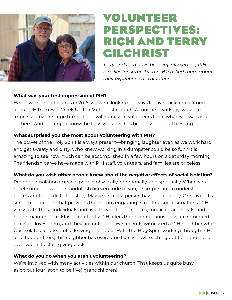

## **VOLUNTEER PERSPECTIVES: RICH AND TERRY GILCHRIST**

*Terry and Rich have been joyfully serving PIH families for several years. We asked them about their experience as volunteers:*

#### **What was your first impression of PIH?**

When we moved to Texas in 2016, we were looking for ways to give back and learned about PIH from Bee Creek United Methodist Church. At our first workday, we were impressed by the large turnout and willingness of volunteers to do whatever was asked of them. And getting to know the folks we serve has been a wonderful blessing.

#### **What surprised you the most about volunteering with PIH?**

The power of the Holy Spirit is always present—bringing laughter even as we work hard and get sweaty and dirty. Who knew working in a dumpster could be so fun? It is amazing to see how much can be accomplished in a few hours on a Saturday morning. The friendships we have made with PIH staff, volunteers, and families are priceless!

#### **What do you wish other people knew about the negative effects of social isolation?**

Prolonged isolation impacts people physically, emotionally, and spiritually. When you meet someone who is standoffish or even rude to you, it's important to understand there's another side to the story. Maybe it's just a person having a bad day. Or maybe it's something deeper that prevents them from engaging in routine social situations. PIH walks with these individuals and assists with their finances, medical care, meals, and home maintenance. Most importantly PIH offers them connections. They are reminded that God loves them, and they are not alone. We recently witnessed a PIH neighbor who was isolated and fearful of leaving the house. With the Holy Spirit working through PIH and its volunteers, this neighbor has overcome fear, is now reaching out to friends, and even wants to start giving back.

#### **What do you do when you aren't volunteering?**

We're involved with many activities within our church. That keeps us quite busy, as do our four (soon to be five) grandchildren!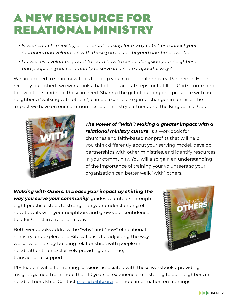# **A NEW RESOURCE FOR RELATIONAL MINISTRY**

- • *Is your church, ministry, or nonprofit looking for a way to better connect your members and volunteers with those you serve—beyond one-time events?*
- • *Do you, as a volunteer, want to learn how to come alongside your neighbors and people in your community to serve in a more impactful way?*

We are excited to share new tools to equip you in relational ministry! Partners in Hope recently published two workbooks that offer practical steps for fulfilling God's command to love others and help those in need. Sharing the gift of our ongoing presence with our neighbors ("walking with others") can be a complete game-changer in terms of the impact we have on our communities, our ministry partners, and the Kingdom of God.



*The Power of "With": Making a greater impact with a relational ministry culture*, is a workbook for churches and faith-based nonprofits that will help you think differently about your serving model, develop partnerships with other ministries, and identify resources in your community. You will also gain an understanding of the importance of training your volunteers so your organization can better walk "with" others.

*Walking with Others: Increase your impact by shifting the way you serve your community*, guides volunteers through eight practical steps to strengthen your understanding of how to walk with your neighbors and grow your confidence to offer Christ in a relational way.

Both workbooks address the "why" and "how" of relational ministry and explore the Biblical basis for adjusting the way we serve others by building relationships with people in need rather than exclusively providing one-time, transactional support.



PIH leaders will offer training sessions associated with these workbooks, providing insights gained from more than 10 years of experience ministering to our neighbors in need of friendship. Contact [matt@pihtx.org](mailto:matt%40pihtx.org?subject=) for more information on trainings.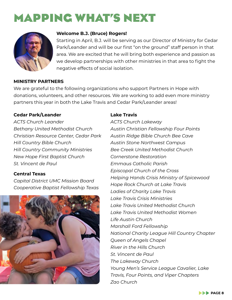# **MAPPING WHAT'S NEXT**



#### **Welcome B.J. (Bruce) Rogers!**

Starting in April, B.J. will be serving as our Director of Ministry for Cedar Park/Leander and will be our first "on the ground" staff person in that area. We are excited that he will bring both experience and passion as we develop partnerships with other ministries in that area to fight the negative effects of social isolation.

#### **MINISTRY PARTNERS**

We are grateful to the following organizations who support Partners in Hope with donations, volunteers, and other resources. We are working to add even more ministry partners this year in both the Lake Travis and Cedar Park/Leander areas!

#### **Cedar Park/Leander**

*ACTS Church Leander Bethany United Methodist Church Christian Resource Center, Cedar Park Hill Country Bible Church Hill Country Community Ministries New Hope First Baptist Church St. Vincent de Paul* 

#### **Central Texas**

*Capital District UMC Mission Board Cooperative Baptist Fellowship Texas* 



#### **Lake Travis**

*ACTS Church Lakeway Austin Christian Fellowship Four Points Austin Ridge Bible Church Bee Cave Austin Stone Northwest Campus Bee Creek United Methodist Church Cornerstone Restoration Emmaus Catholic Parish Episcopal Church of the Cross Helping Hands Crisis Ministry of Spicewood Hope Rock Church at Lake Travis Ladies of Charity Lake Travis Lake Travis Crisis Ministries Lake Travis United Methodist Church Lake Travis United Methodist Women Life Austin Church Marshall Ford Fellowship National Charity League Hill Country Chapter Queen of Angels Chapel River in the Hills Church St. Vincent de Paul The Lakeway Church Young Men's Service League Cavalier, Lake Travis, Four Points, and Viper Chapters Zao Church*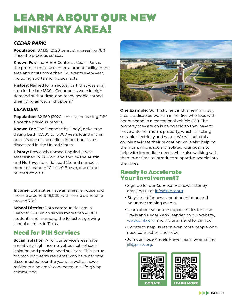# **LEARN ABOUT OUR NEW MINISTRY AREA!**

#### *CEDAR PARK:*

**Population:** 87,139 (2020 census), increasing 78% since the previous census.

**Known For:** The H-E-B Center at Cedar Park is the premier multi-use entertainment facility in the area and hosts more than 150 events every year, including sports and musical acts.

**History:** Named for an actual park that was a rail stop in the late 1800s. Cedar posts were in high demand at that time, and many people earned their living as "cedar choppers."

#### *LEANDER:*

**Population:** 82,660 (2020 census), increasing 211% since the previous census.

**Known For:** The "Leanderthal Lady", a skeleton dating back 10,000 to 13,000 years found in this area. It's one of the earliest intact burial sites discovered in the United States.

**History:** Previously named Bagdad, it was established in 1882 on land sold by the Austin and Northwestern Railroad Co. and named in honor of Leander "Catfish" Brown, one of the railroad officials.

**Income:** Both cities have an average household income around \$118,000, with home ownership around 70%.

**School District:** Both communities are in Leander ISD, which serves more than 41,000 students and is among the 10 fastest growing school districts in Texas.

#### **Need for PIH Services**

**Social Isolation:** All of our service areas have a relatively high income, yet pockets of social isolation and physical need still exist. This is true for both long-term residents who have become disconnected over the years, as well as newer residents who aren't connected to a life-giving community.



**One Example:** Our first client in this new ministry area is a disabled woman in her 50s who lives with her husband in a recreational vehicle (RV). The property they are on is being sold so they have to move onto her mom's property, which is lacking suitable electricity and water. We will help this couple navigate their relocation while also helping the mom, who is socially isolated. Our goal is to help with immediate needs while also walking with them over time to introduce supportive people into their lives.

#### **Ready to Accelerate Your Involvement?**

- Sign up for our *Connections* newsletter by emailing us at [info@pihtx.org](mailto:info%40pihtx.org?subject=).
- Stay tuned for news about orientation and volunteer training events.
- Learn about volunteer opportunities for Lake Travis and Cedar Park/Leander on our website, [www.pihtx.org](http://www.pihtx.org), and invite a friend to join you!
- Donate to help us reach even more people who need connection and hope.
- Join our Hope Angels Prayer Team by emailing [jill@pihtx.org](mailto:jill%40pihtx.org?subject=).

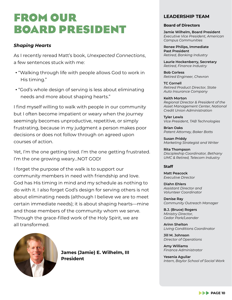# **FROM OUR BOARD PRESIDENT**

#### *Shaping Hearts*

As I recently reread Matt's book, *Unexpected Connections*, a few sentences stuck with me:

- "Walking through life with people allows God to work in His timing."
- "God's whole design of serving is less about eliminating needs and more about shaping hearts."

I find myself willing to walk with people in our community but I often become impatient or weary when the journey seemingly becomes unproductive, repetitive, or simply frustrating, because in my judgment a person makes poor decisions or does not follow through on agreed upon courses of action.

Yet, I'm the one getting tired. I'm the one getting frustrated. I'm the one growing weary…NOT GOD!

I forget the purpose of the walk is to support our community members in need with friendship and love. God has His timing in mind and my schedule as nothing to do with it. I also forget God's design for serving others is not about eliminating needs (although I believe we are to meet certain immediate needs); it is about shaping hearts—mine and those members of the community whom we serve. Through the grace-filled work of the Holy Spirit, we are all transformed.



**James (Jamie) E. Wilhelm, III President** 

#### **LEADERSHIP TEAM**

#### **Board of Directors**

**Jamie Wilhelm, Board President**  *Executive Vice President, American Campus Communities* 

**Renee Philips, Immediate Past President** *Retired, Banking Industry*

**Laurie Hockenberry, Secretary** *Retired, Finance Industry* 

**Bob Corless**  *Retired Engineer, Chevron* 

**TC Cornell**  *Retired Product Director, State Auto Insurance Company*

#### **Keith Morton**  *Regional Director & President of the Asset Management Center, National Credit Union Administration*

**Tyler Lewis**  *Vice President, TAB Technologies*

**Brian Oaks**  *Patent Attorney, Baker Botts*

**Susan Priddy**  *Marketing Strategist and Writer*

**Rita Thompson**  *Discipleship Coordinator, Bethany UMC & Retired, Telecom Industry* 

#### **Staff**

**Matt Peacock**  *Executive Director* 

**Diahn Ehlers**  *Assistant Director and Volunteer Coordinator*

**Denise Ray**  *Community Outreach Manager*

**B.J. (Bruce) Rogers**  *Ministry Director, Cedar Park/Leander* 

**Arinn Shelton**  *Living Conditions Coordinator* 

**Jill M. Johnson**  *Director of Operations*

**Amy Williams**  *Finance Administrator*

**Yesenia Aguilar**  *Intern, Baylor School of Social Work*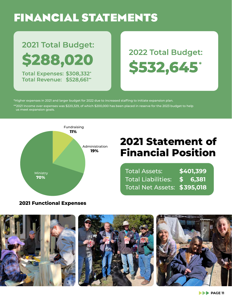# **FINANCIAL STATEMENTS**

# 2021 Total Budget: \$288,020

Total Expenses: \$308,332\* **Total Revenue: \$528,661\*\***  2022 Total Budget: \$532,645

\*Higher expenses in 2021 and larger budget for 2022 due to increased staffing to initiate expansion plan.  $^{**}$ 2021 Income over expenses was \$220,329, of which \$200,000 has been placed in reserve for the 2023 budget to help us meet expansion goals.



### **2021 Statement of Financial Position**

**\$401,399 \$ 6,381** Total Liabilities: **\$395,018**  Total Net Assets: Total Assets:

#### **2021 Functional Expenses**